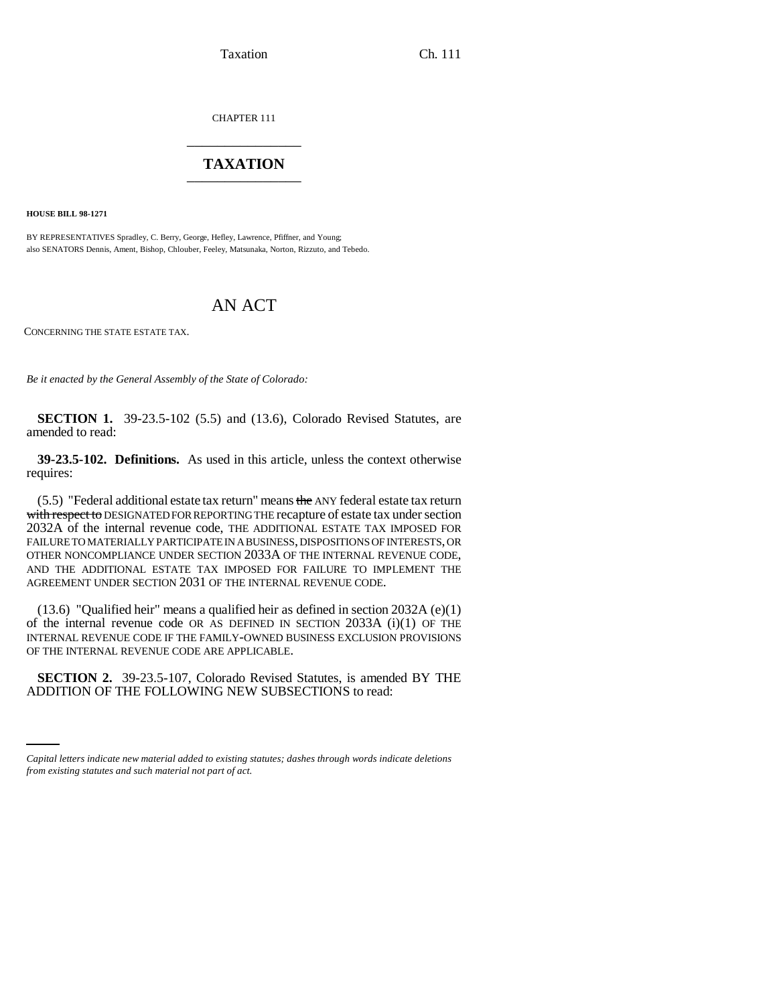Taxation Ch. 111

CHAPTER 111 \_\_\_\_\_\_\_\_\_\_\_\_\_\_\_

## **TAXATION** \_\_\_\_\_\_\_\_\_\_\_\_\_\_\_

**HOUSE BILL 98-1271**

BY REPRESENTATIVES Spradley, C. Berry, George, Hefley, Lawrence, Pfiffner, and Young; also SENATORS Dennis, Ament, Bishop, Chlouber, Feeley, Matsunaka, Norton, Rizzuto, and Tebedo.

## AN ACT

CONCERNING THE STATE ESTATE TAX.

*Be it enacted by the General Assembly of the State of Colorado:*

**SECTION 1.** 39-23.5-102 (5.5) and (13.6), Colorado Revised Statutes, are amended to read:

**39-23.5-102. Definitions.** As used in this article, unless the context otherwise requires:

(5.5) "Federal additional estate tax return" means the ANY federal estate tax return with respect to DESIGNATED FOR REPORTING THE recapture of estate tax under section 2032A of the internal revenue code, THE ADDITIONAL ESTATE TAX IMPOSED FOR FAILURE TO MATERIALLY PARTICIPATE IN A BUSINESS, DISPOSITIONS OF INTERESTS, OR OTHER NONCOMPLIANCE UNDER SECTION 2033A OF THE INTERNAL REVENUE CODE, AND THE ADDITIONAL ESTATE TAX IMPOSED FOR FAILURE TO IMPLEMENT THE AGREEMENT UNDER SECTION 2031 OF THE INTERNAL REVENUE CODE.

(13.6) "Qualified heir" means a qualified heir as defined in section 2032A (e)(1) of the internal revenue code OR AS DEFINED IN SECTION 2033A (i)(1) OF THE INTERNAL REVENUE CODE IF THE FAMILY-OWNED BUSINESS EXCLUSION PROVISIONS OF THE INTERNAL REVENUE CODE ARE APPLICABLE.

 **SECTION 2.** 39-23.5-107, Colorado Revised Statutes, is amended BY THE ADDITION OF THE FOLLOWING NEW SUBSECTIONS to read:

*Capital letters indicate new material added to existing statutes; dashes through words indicate deletions from existing statutes and such material not part of act.*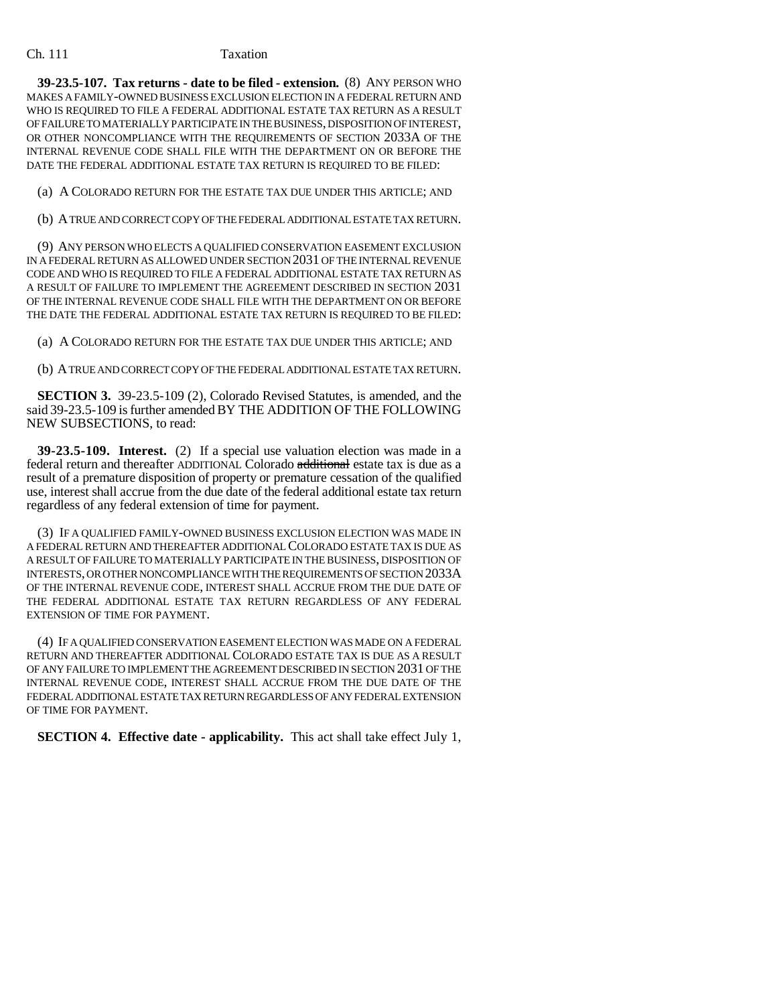## Ch. 111 Taxation

**39-23.5-107. Tax returns - date to be filed - extension.** (8) ANY PERSON WHO MAKES A FAMILY-OWNED BUSINESS EXCLUSION ELECTION IN A FEDERAL RETURN AND WHO IS REQUIRED TO FILE A FEDERAL ADDITIONAL ESTATE TAX RETURN AS A RESULT OF FAILURE TO MATERIALLY PARTICIPATE IN THE BUSINESS, DISPOSITION OF INTEREST, OR OTHER NONCOMPLIANCE WITH THE REQUIREMENTS OF SECTION 2033A OF THE INTERNAL REVENUE CODE SHALL FILE WITH THE DEPARTMENT ON OR BEFORE THE DATE THE FEDERAL ADDITIONAL ESTATE TAX RETURN IS REQUIRED TO BE FILED:

(a) A COLORADO RETURN FOR THE ESTATE TAX DUE UNDER THIS ARTICLE; AND

(b) A TRUE AND CORRECT COPY OF THE FEDERAL ADDITIONAL ESTATE TAX RETURN.

(9) ANY PERSON WHO ELECTS A QUALIFIED CONSERVATION EASEMENT EXCLUSION IN A FEDERAL RETURN AS ALLOWED UNDER SECTION 2031 OF THE INTERNAL REVENUE CODE AND WHO IS REQUIRED TO FILE A FEDERAL ADDITIONAL ESTATE TAX RETURN AS A RESULT OF FAILURE TO IMPLEMENT THE AGREEMENT DESCRIBED IN SECTION 2031 OF THE INTERNAL REVENUE CODE SHALL FILE WITH THE DEPARTMENT ON OR BEFORE THE DATE THE FEDERAL ADDITIONAL ESTATE TAX RETURN IS REQUIRED TO BE FILED:

(a) A COLORADO RETURN FOR THE ESTATE TAX DUE UNDER THIS ARTICLE; AND

(b) A TRUE AND CORRECT COPY OF THE FEDERAL ADDITIONAL ESTATE TAX RETURN.

**SECTION 3.** 39-23.5-109 (2), Colorado Revised Statutes, is amended, and the said 39-23.5-109 is further amended BY THE ADDITION OF THE FOLLOWING NEW SUBSECTIONS, to read:

**39-23.5-109. Interest.** (2) If a special use valuation election was made in a federal return and thereafter ADDITIONAL Colorado additional estate tax is due as a result of a premature disposition of property or premature cessation of the qualified use, interest shall accrue from the due date of the federal additional estate tax return regardless of any federal extension of time for payment.

(3) IF A QUALIFIED FAMILY-OWNED BUSINESS EXCLUSION ELECTION WAS MADE IN A FEDERAL RETURN AND THEREAFTER ADDITIONAL COLORADO ESTATE TAX IS DUE AS A RESULT OF FAILURE TO MATERIALLY PARTICIPATE IN THE BUSINESS, DISPOSITION OF INTERESTS, OR OTHER NONCOMPLIANCE WITH THE REQUIREMENTS OF SECTION 2033A OF THE INTERNAL REVENUE CODE, INTEREST SHALL ACCRUE FROM THE DUE DATE OF THE FEDERAL ADDITIONAL ESTATE TAX RETURN REGARDLESS OF ANY FEDERAL EXTENSION OF TIME FOR PAYMENT.

(4) IF A QUALIFIED CONSERVATION EASEMENT ELECTION WAS MADE ON A FEDERAL RETURN AND THEREAFTER ADDITIONAL COLORADO ESTATE TAX IS DUE AS A RESULT OF ANY FAILURE TO IMPLEMENT THE AGREEMENT DESCRIBED IN SECTION 2031 OF THE INTERNAL REVENUE CODE, INTEREST SHALL ACCRUE FROM THE DUE DATE OF THE FEDERAL ADDITIONAL ESTATE TAX RETURN REGARDLESS OF ANY FEDERAL EXTENSION OF TIME FOR PAYMENT.

**SECTION 4. Effective date - applicability.** This act shall take effect July 1,